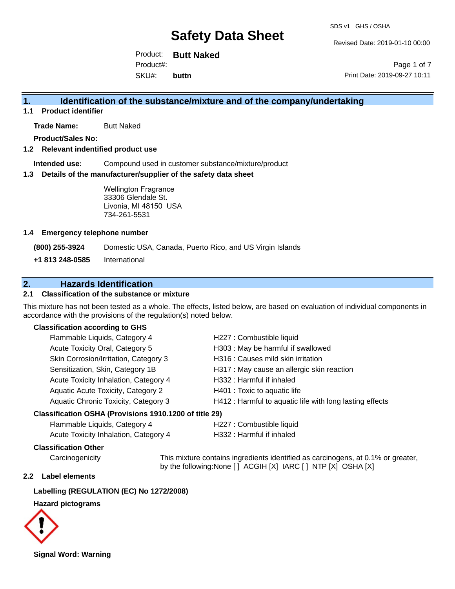Revised Date: 2019-01-10 00:00

Product: **Butt Naked** SKU#: Product#: **buttn**

Page 1 of 7 Print Date: 2019-09-27 10:11

# **1. Identification of the substance/mixture and of the company/undertaking**

**1.1 Product identifier**

**Trade Name:** Butt Naked

**Product/Sales No:**

#### **1.2 Relevant indentified product use**

**Intended use:** Compound used in customer substance/mixture/product

#### **1.3 Details of the manufacturer/supplier of the safety data sheet**

Wellington Fragrance 33306 Glendale St. Livonia, MI 48150 USA 734-261-5531

#### **1.4 Emergency telephone number**

**(800) 255-3924** Domestic USA, Canada, Puerto Rico, and US Virgin Islands

**+1 813 248-0585** International

## **2. Hazards Identification**

#### **2.1 Classification of the substance or mixture**

This mixture has not been tested as a whole. The effects, listed below, are based on evaluation of individual components in accordance with the provisions of the regulation(s) noted below.

#### **Classification according to GHS**

| Flammable Liquids, Category 4                             | H227 : Combustible liquid                                |
|-----------------------------------------------------------|----------------------------------------------------------|
| Acute Toxicity Oral, Category 5                           | H303 : May be harmful if swallowed                       |
| Skin Corrosion/Irritation, Category 3                     | H316 : Causes mild skin irritation                       |
| Sensitization, Skin, Category 1B                          | H317 : May cause an allergic skin reaction               |
| Acute Toxicity Inhalation, Category 4                     | H332: Harmful if inhaled                                 |
| Aquatic Acute Toxicity, Category 2                        | H401 : Toxic to aquatic life                             |
| Aquatic Chronic Toxicity, Category 3                      | H412 : Harmful to aquatic life with long lasting effects |
| $\sim$ ification OCLIA (Droviojano 4040 4200 of title 20) |                                                          |

#### **Classification OSHA (Provisions 1910.1200 of title 29)**

| Flammable Liquids, Category 4         | H227 : Combustible liquid |
|---------------------------------------|---------------------------|
| Acute Toxicity Inhalation, Category 4 | H332 : Harmful if inhaled |

#### **Classification Other**

Carcinogenicity This mixture contains ingredients identified as carcinogens, at 0.1% or greater, by the following:None [ ] ACGIH [X] IARC [ ] NTP [X] OSHA [X]

#### **2.2 Label elements**

#### **Labelling (REGULATION (EC) No 1272/2008)**

#### **Hazard pictograms**



**Signal Word: Warning**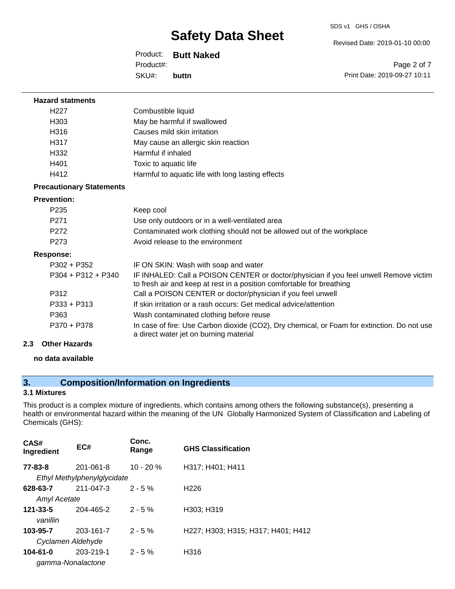#### SDS v1 GHS / OSHA

# **Safety Data Sheet**

Product: **Butt Naked** SKU#: Product#: **buttn**

Revised Date: 2019-01-10 00:00

Page 2 of 7 Print Date: 2019-09-27 10:11

| <b>Hazard statments</b>         |                                                                                                                                                                |
|---------------------------------|----------------------------------------------------------------------------------------------------------------------------------------------------------------|
| H <sub>22</sub> 7               | Combustible liquid                                                                                                                                             |
| H303                            | May be harmful if swallowed                                                                                                                                    |
| H316                            | Causes mild skin irritation                                                                                                                                    |
| H317                            | May cause an allergic skin reaction                                                                                                                            |
| H332                            | Harmful if inhaled                                                                                                                                             |
| H401                            | Toxic to aquatic life                                                                                                                                          |
| H412                            | Harmful to aquatic life with long lasting effects                                                                                                              |
| <b>Precautionary Statements</b> |                                                                                                                                                                |
| <b>Prevention:</b>              |                                                                                                                                                                |
| P <sub>235</sub>                | Keep cool                                                                                                                                                      |
| P <sub>271</sub>                | Use only outdoors or in a well-ventilated area                                                                                                                 |
| P272                            | Contaminated work clothing should not be allowed out of the workplace                                                                                          |
| P273                            | Avoid release to the environment                                                                                                                               |
| <b>Response:</b>                |                                                                                                                                                                |
| P302 + P352                     | IF ON SKIN: Wash with soap and water                                                                                                                           |
| $P304 + P312 + P340$            | IF INHALED: Call a POISON CENTER or doctor/physician if you feel unwell Remove victim<br>to fresh air and keep at rest in a position comfortable for breathing |
| P312                            | Call a POISON CENTER or doctor/physician if you feel unwell                                                                                                    |
| $P333 + P313$                   | If skin irritation or a rash occurs: Get medical advice/attention                                                                                              |
| P363                            | Wash contaminated clothing before reuse                                                                                                                        |
| P370 + P378                     | In case of fire: Use Carbon dioxide (CO2), Dry chemical, or Foam for extinction. Do not use<br>a direct water jet on burning material                          |

### **2.3 Other Hazards**

#### **no data available**

# **3. Composition/Information on Ingredients**

### **3.1 Mixtures**

This product is a complex mixture of ingredients, which contains among others the following substance(s), presenting a health or environmental hazard within the meaning of the UN Globally Harmonized System of Classification and Labeling of Chemicals (GHS):

| CAS#<br>Ingredient              | EC#                                      | Conc.<br>Range | <b>GHS Classification</b>          |
|---------------------------------|------------------------------------------|----------------|------------------------------------|
| 77-83-8                         | 201-061-8<br>Ethyl Methylphenylglycidate | $10 - 20%$     | H317; H401; H411                   |
| 628-63-7<br><b>Amyl Acetate</b> | 211-047-3                                | $2 - 5%$       | H <sub>226</sub>                   |
| $121 - 33 - 5$<br>vanillin      | 204-465-2                                | $2 - 5%$       | H303; H319                         |
| 103-95-7<br>Cyclamen Aldehyde   | 203-161-7                                | $2 - 5%$       | H227; H303; H315; H317; H401; H412 |
| 104-61-0<br>gamma-Nonalactone   | 203-219-1                                | $2 - 5%$       | H316                               |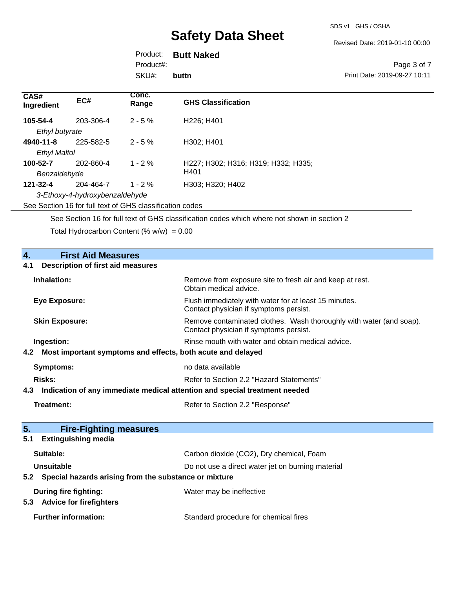Revised Date: 2019-01-10 00:00

| Product: |  | <b>Butt Naked</b> |
|----------|--|-------------------|
|----------|--|-------------------|

Product#:

SKU#: **buttn**

#### Page 3 of 7 Print Date: 2019-09-27 10:11

| CAS#<br>Ingredient  | EC#                            | Conc.<br>Range | <b>GHS Classification</b>           |
|---------------------|--------------------------------|----------------|-------------------------------------|
| 105-54-4            | 203-306-4                      | $2 - 5%$       | H <sub>226</sub> ; H <sub>401</sub> |
| Ethyl butyrate      |                                |                |                                     |
| 4940-11-8           | 225-582-5                      | $2 - 5%$       | H302: H401                          |
| <b>Ethyl Maltol</b> |                                |                |                                     |
| 100-52-7            | 202-860-4                      | $1 - 2%$       | H227; H302; H316; H319; H332; H335; |
| Benzaldehyde        |                                |                | H401                                |
| 121-32-4            | 204-464-7                      | $1 - 2 \%$     | H303; H320; H402                    |
|                     | 3-Ethoxy-4-hydroxybenzaldehyde |                |                                     |

See Section 16 for full text of GHS classification codes

See Section 16 for full text of GHS classification codes which where not shown in section 2

Total Hydrocarbon Content (%  $w/w$ ) = 0.00

| 4.<br><b>First Aid Measures</b><br><b>Description of first aid measures</b><br>4.1 |                                                                                                               |  |
|------------------------------------------------------------------------------------|---------------------------------------------------------------------------------------------------------------|--|
| Inhalation:                                                                        | Remove from exposure site to fresh air and keep at rest.<br>Obtain medical advice.                            |  |
| <b>Eye Exposure:</b>                                                               | Flush immediately with water for at least 15 minutes.<br>Contact physician if symptoms persist.               |  |
| <b>Skin Exposure:</b>                                                              | Remove contaminated clothes. Wash thoroughly with water (and soap).<br>Contact physician if symptoms persist. |  |
| Ingestion:                                                                         | Rinse mouth with water and obtain medical advice.                                                             |  |
| Most important symptoms and effects, both acute and delayed<br>4.2                 |                                                                                                               |  |
| <b>Symptoms:</b>                                                                   | no data available                                                                                             |  |
| <b>Risks:</b>                                                                      | Refer to Section 2.2 "Hazard Statements"                                                                      |  |
| Indication of any immediate medical attention and special treatment needed<br>4.3  |                                                                                                               |  |
| <b>Treatment:</b>                                                                  | Refer to Section 2.2 "Response"                                                                               |  |
| 5.<br><b>Fire-Fighting measures</b>                                                |                                                                                                               |  |
| <b>Extinguishing media</b><br>5.1                                                  |                                                                                                               |  |
| Suitable:                                                                          | Carbon dioxide (CO2), Dry chemical, Foam                                                                      |  |
| <b>Unsuitable</b>                                                                  | Do not use a direct water jet on burning material                                                             |  |
| Special hazards arising from the substance or mixture<br>5.2                       |                                                                                                               |  |
| During fire fighting:<br>5.3 Advice for firefighters                               | Water may be ineffective                                                                                      |  |
| <b>Further information:</b>                                                        | Standard procedure for chemical fires                                                                         |  |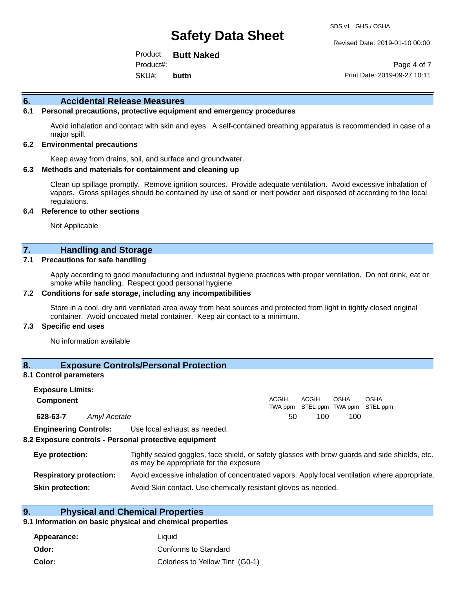Revised Date: 2019-01-10 00:00

Product: **Butt Naked** SKU#: Product#: **buttn**

Page 4 of 7 Print Date: 2019-09-27 10:11

#### **6. Accidental Release Measures**

#### **6.1 Personal precautions, protective equipment and emergency procedures**

Avoid inhalation and contact with skin and eyes. A self-contained breathing apparatus is recommended in case of a major spill.

#### **6.2 Environmental precautions**

Keep away from drains, soil, and surface and groundwater.

#### **6.3 Methods and materials for containment and cleaning up**

Clean up spillage promptly. Remove ignition sources. Provide adequate ventilation. Avoid excessive inhalation of vapors. Gross spillages should be contained by use of sand or inert powder and disposed of according to the local regulations.

#### **6.4 Reference to other sections**

Not Applicable

### **7. Handling and Storage**

#### **7.1 Precautions for safe handling**

Apply according to good manufacturing and industrial hygiene practices with proper ventilation. Do not drink, eat or smoke while handling. Respect good personal hygiene.

#### **7.2 Conditions for safe storage, including any incompatibilities**

Store in a cool, dry and ventilated area away from heat sources and protected from light in tightly closed original container. Avoid uncoated metal container. Keep air contact to a minimum.

#### **7.3 Specific end uses**

No information available

### **8. Exposure Controls/Personal Protection**

#### **8.1 Control parameters**

| <b>Exposure Limits:</b><br><b>Component</b> |              |                                                                                                                                          | <b>ACGIH</b><br>TWA ppm | ACGIH | <b>OSHA</b><br>STEL ppm TWA ppm STEL ppm | <b>OSHA</b> |  |
|---------------------------------------------|--------------|------------------------------------------------------------------------------------------------------------------------------------------|-------------------------|-------|------------------------------------------|-------------|--|
| 628-63-7                                    | Amyl Acetate |                                                                                                                                          | 50                      | 100   | 100                                      |             |  |
| <b>Engineering Controls:</b>                |              | Use local exhaust as needed.<br>8.2 Exposure controls - Personal protective equipment                                                    |                         |       |                                          |             |  |
| Eye protection:                             |              | Tightly sealed goggles, face shield, or safety glasses with brow guards and side shields, etc.<br>as may be appropriate for the exposure |                         |       |                                          |             |  |

| <b>Respiratory protection:</b> | Avoid excessive inhalation of concentrated vapors. Apply local ventilation where appropriate. |  |  |  |  |
|--------------------------------|-----------------------------------------------------------------------------------------------|--|--|--|--|
|--------------------------------|-----------------------------------------------------------------------------------------------|--|--|--|--|

**Skin protection:** Avoid Skin contact. Use chemically resistant gloves as needed.

### **9. Physical and Chemical Properties**

#### **9.1 Information on basic physical and chemical properties**

| Appearance: | Liauid                          |
|-------------|---------------------------------|
| Odor:       | Conforms to Standard            |
| Color:      | Colorless to Yellow Tint (G0-1) |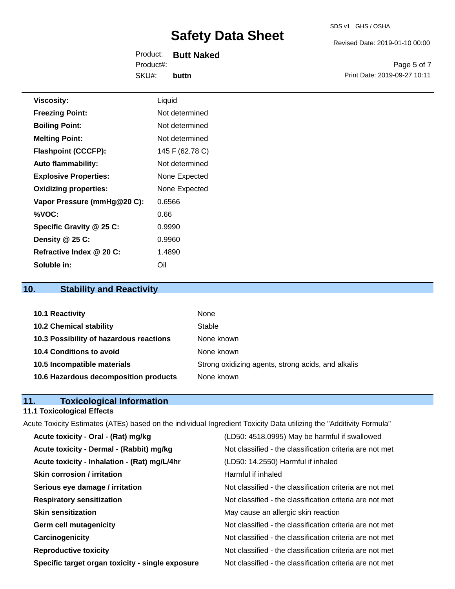Revised Date: 2019-01-10 00:00

Product: **Butt Naked** SKU#: Product#: **buttn**

Page 5 of 7 Print Date: 2019-09-27 10:11

| <b>Viscosity:</b>            | Liquid          |
|------------------------------|-----------------|
| <b>Freezing Point:</b>       | Not determined  |
| <b>Boiling Point:</b>        | Not determined  |
| <b>Melting Point:</b>        | Not determined  |
| <b>Flashpoint (CCCFP):</b>   | 145 F (62.78 C) |
| <b>Auto flammability:</b>    | Not determined  |
| <b>Explosive Properties:</b> | None Expected   |
| <b>Oxidizing properties:</b> | None Expected   |
| Vapor Pressure (mmHg@20 C):  | 0.6566          |
| %VOC:                        | 0.66            |
| Specific Gravity @ 25 C:     | 0.9990          |
| Density @ 25 C:              | 0.9960          |
| Refractive Index @ 20 C:     | 1.4890          |

# **10. Stability and Reactivity**

**Soluble in:** Oil

| 10.1 Reactivity                         | None                                               |
|-----------------------------------------|----------------------------------------------------|
| <b>10.2 Chemical stability</b>          | Stable                                             |
| 10.3 Possibility of hazardous reactions | None known                                         |
| 10.4 Conditions to avoid                | None known                                         |
| 10.5 Incompatible materials             | Strong oxidizing agents, strong acids, and alkalis |
| 10.6 Hazardous decomposition products   | None known                                         |

# **11. Toxicological Information**

#### **11.1 Toxicological Effects**

Acute Toxicity Estimates (ATEs) based on the individual Ingredient Toxicity Data utilizing the "Additivity Formula" **Acute toxicity - Oral - (Rat) mg/kg** (LD50: 4518.0995) May be harmful if swallowed

| Acute toxicity - Dermal - (Rabbit) mg/kg         | Not classified - the classification criteria are not met |
|--------------------------------------------------|----------------------------------------------------------|
| Acute toxicity - Inhalation - (Rat) mg/L/4hr     | (LD50: 14.2550) Harmful if inhaled                       |
| <b>Skin corrosion / irritation</b>               | Harmful if inhaled                                       |
| Serious eye damage / irritation                  | Not classified - the classification criteria are not met |
| <b>Respiratory sensitization</b>                 | Not classified - the classification criteria are not met |
| <b>Skin sensitization</b>                        | May cause an allergic skin reaction                      |
| <b>Germ cell mutagenicity</b>                    | Not classified - the classification criteria are not met |
| Carcinogenicity                                  | Not classified - the classification criteria are not met |
| <b>Reproductive toxicity</b>                     | Not classified - the classification criteria are not met |
| Specific target organ toxicity - single exposure | Not classified - the classification criteria are not met |
|                                                  |                                                          |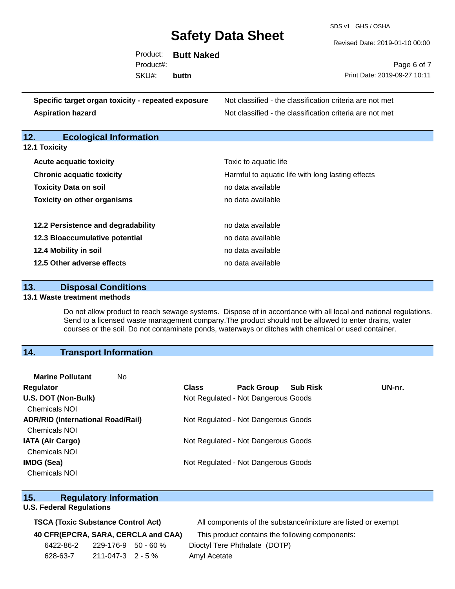SDS v1 GHS / OSHA

Revised Date: 2019-01-10 00:00

|           | Product: Butt Naked |                              |
|-----------|---------------------|------------------------------|
| Product#: |                     | Page 6 of 7                  |
| SKU#:     | buttn               | Print Date: 2019-09-27 10:11 |
|           |                     |                              |
|           |                     |                              |

| Specific target organ toxicity - repeated exposure | Not classified - the classification criteria are not met |
|----------------------------------------------------|----------------------------------------------------------|
| <b>Aspiration hazard</b>                           | Not classified - the classification criteria are not met |

# **12. Ecological Information**

| <b>12.1 Toxicity</b> |  |  |
|----------------------|--|--|
|----------------------|--|--|

| <b>Acute acquatic toxicity</b>     | Toxic to aquatic life                             |
|------------------------------------|---------------------------------------------------|
| <b>Chronic acquatic toxicity</b>   | Harmful to aquatic life with long lasting effects |
| <b>Toxicity Data on soil</b>       | no data available                                 |
| <b>Toxicity on other organisms</b> | no data available                                 |
|                                    |                                                   |
| 12.2 Persistence and degradability | no data available                                 |
| 12.3 Bioaccumulative potential     | no data available                                 |
| 12.4 Mobility in soil              | no data available                                 |
| 12.5 Other adverse effects         | no data available                                 |

### **13. Disposal Conditions**

#### **13.1 Waste treatment methods**

Do not allow product to reach sewage systems. Dispose of in accordance with all local and national regulations. Send to a licensed waste management company.The product should not be allowed to enter drains, water courses or the soil. Do not contaminate ponds, waterways or ditches with chemical or used container.

### **14. Transport Information**

| <b>Class</b> | <b>Pack Group</b><br><b>Sub Risk</b> | UN-nr.                                                                                                                                                   |
|--------------|--------------------------------------|----------------------------------------------------------------------------------------------------------------------------------------------------------|
|              |                                      |                                                                                                                                                          |
|              |                                      |                                                                                                                                                          |
|              |                                      |                                                                                                                                                          |
|              |                                      |                                                                                                                                                          |
|              |                                      |                                                                                                                                                          |
|              |                                      |                                                                                                                                                          |
|              |                                      |                                                                                                                                                          |
|              |                                      |                                                                                                                                                          |
|              |                                      | Not Regulated - Not Dangerous Goods<br>Not Regulated - Not Dangerous Goods<br>Not Regulated - Not Dangerous Goods<br>Not Regulated - Not Dangerous Goods |

### **15. Regulatory Information**

#### **U.S. Federal Regulations**

|  | 40 CFR(EPCRA, SARA, CERCLA and CAA |  |  |
|--|------------------------------------|--|--|
|  |                                    |  |  |

| 6422-86-2 | 229-176-9 50 - 60 %     |  |
|-----------|-------------------------|--|
| 628-63-7  | $211 - 047 - 3$ 2 - 5 % |  |

**TSCA (Toxic Substance Control Act)** All components of the substance/mixture are listed or exempt

**4)** This product contains the following components: Dioctyl Tere Phthalate (DOTP) Amyl Acetate